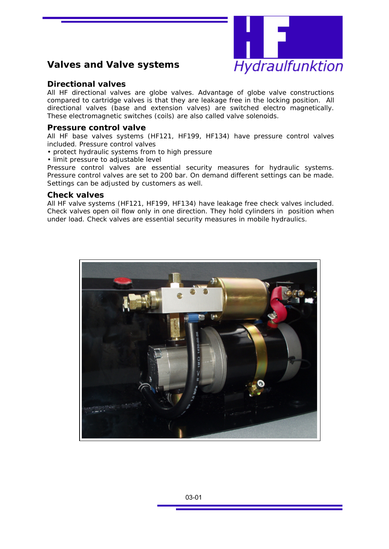

#### **Valves and Valve systems**

#### **Directional valves**

All *HF* directional valves are globe valves. Advantage of globe valve constructions compared to cartridge valves is that they are leakage free in the locking position. All directional valves (base and extension valves) are switched electro magnetically. These electromagnetic switches (coils) are also called valve solenoids.

#### **Pressure control valve**

All *HF* base valves systems (HF121, HF199, HF134) have pressure control valves included. Pressure control valves

- protect hydraulic systems from to high pressure
- limit pressure to adjustable level

Pressure control valves are essential security measures for hydraulic systems. Pressure control valves are set to 200 bar. On demand different settings can be made. Settings can be adjusted by customers as well.

#### **Check valves**

All HF valve systems (HF121, HF199, HF134) have leakage free check valves included. Check valves open oil flow only in one direction. They hold cylinders in position when under load. Check valves are essential security measures in mobile hydraulics.

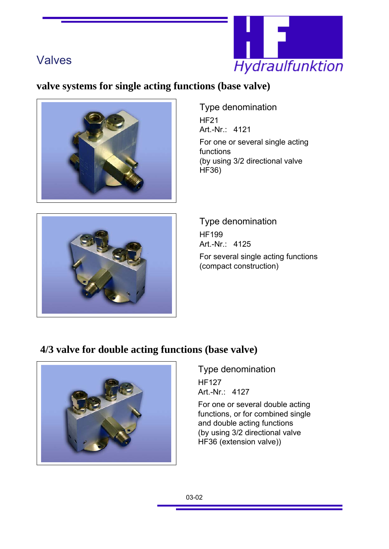

## **valve systems for single acting functions (base valve)**





Type denomination HF21 Art.-Nr.: 4121 For one or several single acting functions (by using 3/2 directional valve HF36)

Type denomination HF199 Art.-Nr.: 4125 For several single acting functions (compact construction)

### **4/3 valve for double acting functions (base valve)**



Type denomination HF127 Art.-Nr.: 4127

For one or several double acting functions, or for combined single and double acting functions (by using 3/2 directional valve HF36 (extension valve))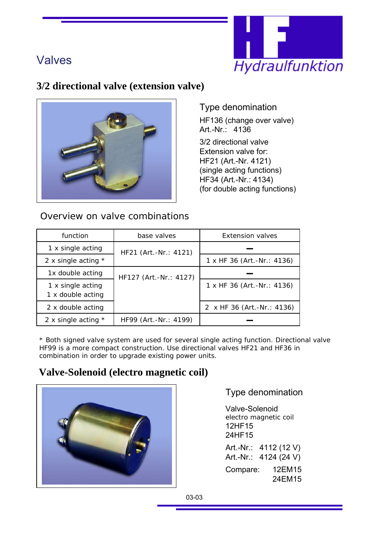

### **3/2 directional valve (extension valve)**



Type denomination

HF136 (change over valve) Art.-Nr.: 4136 3/2 directional valve Extension valve for: HF21 (Art.-Nr. 4121) (single acting functions) HF34 (Art.-Nr.: 4134) (for double acting functions)

| function                               | base valves            | Extension valves           |
|----------------------------------------|------------------------|----------------------------|
| 1 x single acting                      | HF21 (Art.-Nr.: 4121)  |                            |
| 2 x single acting $*$                  |                        | 1 x HF 36 (Art.-Nr.: 4136) |
| 1x double acting                       | HF127 (Art.-Nr.: 4127) |                            |
| 1 x single acting<br>1 x double acting |                        | 1 x HF 36 (Art.-Nr.: 4136) |
| 2 x double acting                      |                        | 2 x HF 36 (Art.-Nr.: 4136) |
| 2 x single acting $*$                  | HF99 (Art.-Nr.: 4199)  |                            |

Overview on valve combinations

\* Both signed valve system are used for several single acting function. Directional valve HF99 is a more compact construction. Use directional valves HF21 and HF36 in combination in order to upgrade existing power units.

### **Valve-Solenoid (electro magnetic coil)**



Type denomination

Valve-Solenoid electro magnetic coil 12HF15 24HF15

Art.-Nr.: 4112 (12 V) Art.-Nr.: 4124 (24 V) Compare: 12EM15 24EM15

03-03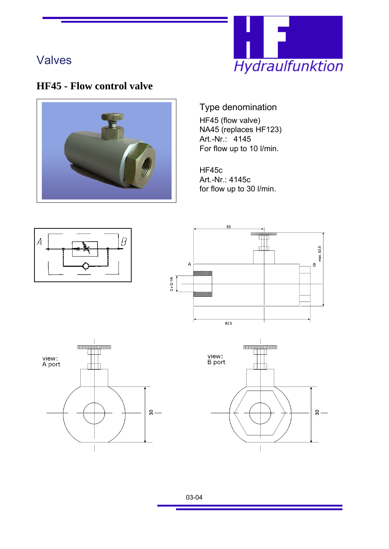

## **HF45 - Flow control valve**



### Type denomination

HF45 (flow valve) NA45 (replaces HF123) Art.-Nr.: 4145 For flow up to 10 l/min.

HF45c Art.-Nr.: 4145c for flow up to 30 l/min.

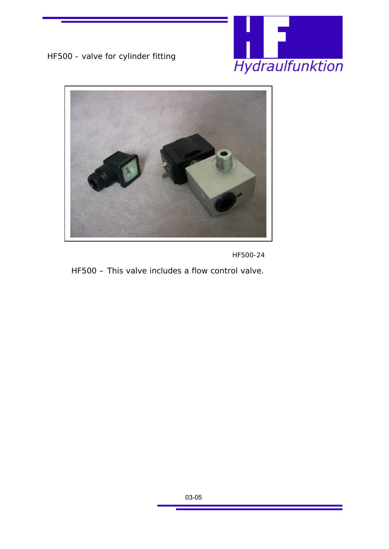





*HF500-24*

*HF500 –* This valve includes a flow control valve.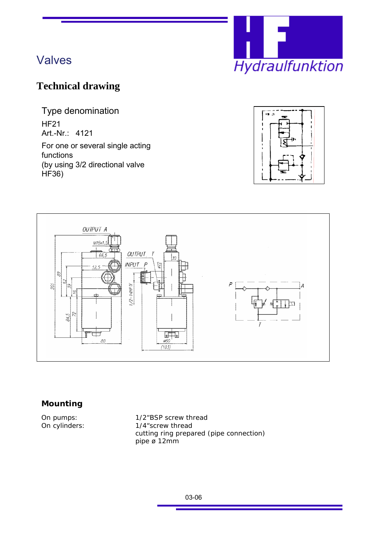

## **Technical drawing**

Type denomination HF21 Art.-Nr.: 4121

For one or several single acting functions (by using 3/2 directional valve HF36)





#### **Mounting**

On pumps:  $1/2$ <sup>"</sup>BSP screw thread<br>On cylinders:  $1/4$ "screw thread 1/4"screw thread cutting ring prepared (pipe connection) pipe ø 12mm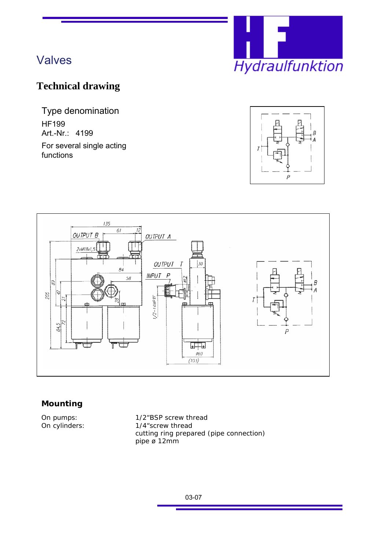

## **Technical drawing**

Type denomination HF199 Art.-Nr.: 4199 For several single acting

functions





#### **Mounting**

On pumps:  $1/2$ <sup>"</sup>BSP screw thread<br>On cylinders:  $1/4$ "screw thread 1/4"screw thread cutting ring prepared (pipe connection) pipe ø 12mm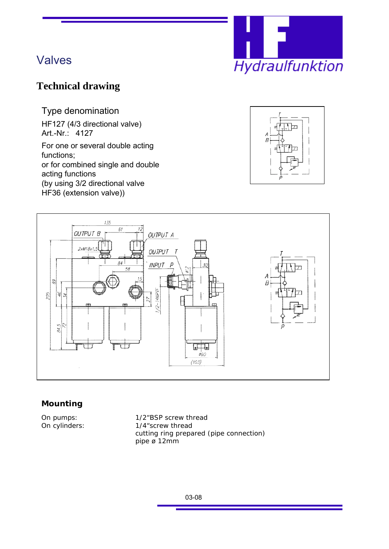

## **Technical drawing**

Type denomination

HF127 (4/3 directional valve) Art.-Nr.: 4127

For one or several double acting functions; or for combined single and double acting functions (by using 3/2 directional valve HF36 (extension valve))





#### **Mounting**

On pumps:  $1/2$ <sup>"</sup>BSP screw thread<br>On cylinders:  $1/4$ "screw thread 1/4"screw thread cutting ring prepared (pipe connection) pipe ø 12mm